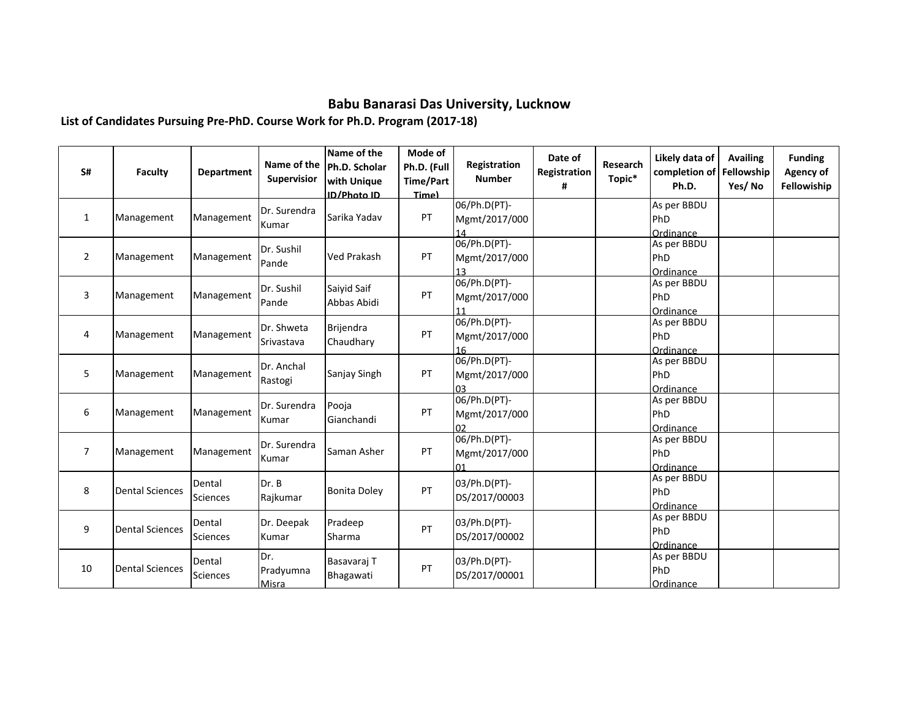## **Babu Banarasi Das University, Lucknow**

**List of Candidates Pursuing Pre-PhD. Course Work for Ph.D. Program (2017-18)**

| S#             | Faculty                | <b>Department</b>         | Name of the<br>Supervisior | Name of the<br>Ph.D. Scholar<br><b>with Unique</b><br><b>ID/Photo ID</b> | Mode of<br>Ph.D. (Full<br>Time/Part<br>Time) | Registration<br><b>Number</b>               | Date of<br>Registration<br># | Research<br>Topic* | Likely data of<br>completion of<br>Ph.D. | <b>Availing</b><br>Fellowship<br>Yes/No | <b>Funding</b><br>Agency of<br>Fellowiship |
|----------------|------------------------|---------------------------|----------------------------|--------------------------------------------------------------------------|----------------------------------------------|---------------------------------------------|------------------------------|--------------------|------------------------------------------|-----------------------------------------|--------------------------------------------|
| $\mathbf{1}$   | Management             | Management                | Dr. Surendra<br>Kumar      | Sarika Yadav                                                             | PT                                           | 06/Ph.D(PT)-<br>Mgmt/2017/000<br>14         |                              |                    | As per BBDU<br>PhD<br>Ordinance          |                                         |                                            |
| $\overline{2}$ | Management             | Management                | Dr. Sushil<br>Pande        | <b>Ved Prakash</b>                                                       | PT                                           | 06/Ph.D(PT)-<br>Mgmt/2017/000<br>13         |                              |                    | As per BBDU<br>PhD<br>Ordinance          |                                         |                                            |
| 3              | Management             | Management                | Dr. Sushil<br>Pande        | Saivid Saif<br>Abbas Abidi                                               | PT                                           | 06/Ph.D(PT)-<br>Mgmt/2017/000<br>11         |                              |                    | As per BBDU<br>PhD<br>Ordinance          |                                         |                                            |
| 4              | Management             | Management                | Dr. Shweta<br>Srivastava   | Brijendra<br>Chaudhary                                                   | PT                                           | 06/Ph.D(PT)-<br>Mgmt/2017/000<br>16         |                              |                    | As per BBDU<br>PhD<br>Ordinance          |                                         |                                            |
| 5              | Management             | Management                | Dr. Anchal<br>Rastogi      | Sanjay Singh                                                             | PT                                           | 06/Ph.D(PT)-<br>Mgmt/2017/000<br>n3         |                              |                    | As per BBDU<br>PhD<br>Ordinance          |                                         |                                            |
| 6              | Management             | Management                | Dr. Surendra<br>Kumar      | Pooja<br>Gianchandi                                                      | PT                                           | 06/Ph.D(PT)-<br>Mgmt/2017/000<br>በን         |                              |                    | As per BBDU<br>PhD<br>Ordinance          |                                         |                                            |
| $\overline{7}$ | Management             | Management                | Dr. Surendra<br>Kumar      | Saman Asher                                                              | PT                                           | 06/Ph.D(PT)-<br>Mgmt/2017/000<br>$\Omega$ 1 |                              |                    | As per BBDU<br>PhD<br>Ordinance          |                                         |                                            |
| 8              | <b>Dental Sciences</b> | Dental<br><b>Sciences</b> | Dr. B<br>Rajkumar          | <b>Bonita Doley</b>                                                      | PT                                           | 03/Ph.D(PT)-<br>DS/2017/00003               |                              |                    | As per BBDU<br>PhD<br>Ordinance          |                                         |                                            |
| 9              | <b>Dental Sciences</b> | Dental<br>Sciences        | Dr. Deepak<br>Kumar        | Pradeep<br>Sharma                                                        | PT                                           | 03/Ph.D(PT)-<br>DS/2017/00002               |                              |                    | As per BBDU<br>PhD<br>Ordinance          |                                         |                                            |
| 10             | <b>Dental Sciences</b> | Dental<br>Sciences        | Dr.<br>Pradyumna<br>Misra  | Basavaraj T<br>Bhagawati                                                 | PT                                           | 03/Ph.D(PT)-<br>DS/2017/00001               |                              |                    | As per BBDU<br>PhD<br>Ordinance          |                                         |                                            |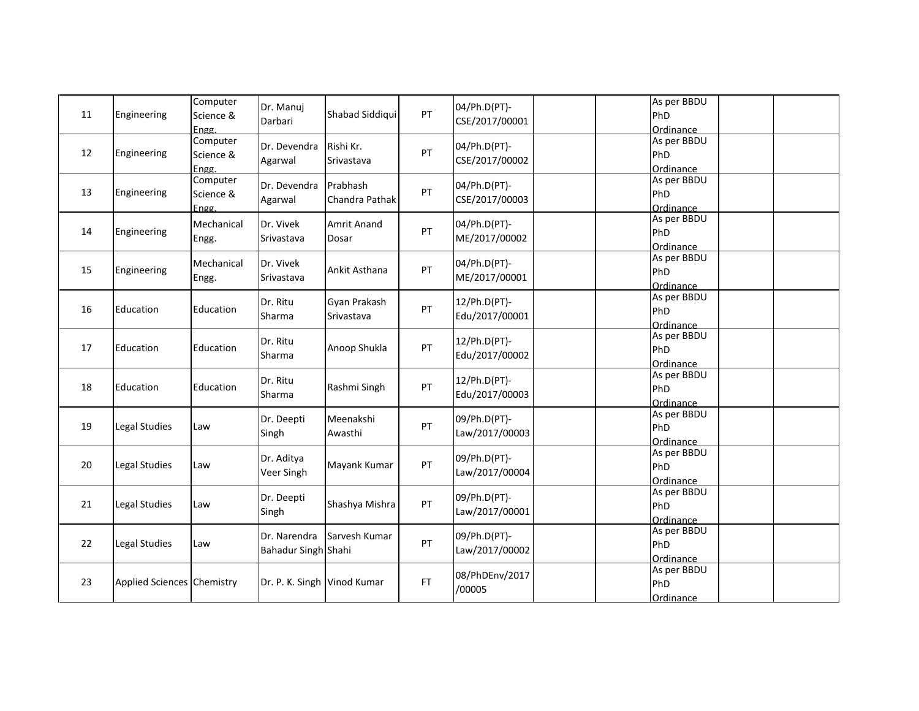| 11 | Engineering                | Computer<br>Science &<br>Engg. | Dr. Manuj<br>Darbari        | Shabad Siddiqui             | PT        | 04/Ph.D(PT)-<br>CSE/2017/00001 | As per BBDU<br>PhD<br>Ordinance |
|----|----------------------------|--------------------------------|-----------------------------|-----------------------------|-----------|--------------------------------|---------------------------------|
| 12 | Engineering                | Computer<br>Science &<br>Engg. | Dr. Devendra<br>Agarwal     | Rishi Kr.<br>Srivastava     | PT        | 04/Ph.D(PT)-<br>CSE/2017/00002 | As per BBDU<br>PhD<br>Ordinance |
| 13 | Engineering                | Computer<br>Science &<br>Engg. | Dr. Devendra<br>Agarwal     | Prabhash<br>Chandra Pathak  | PT        | 04/Ph.D(PT)-<br>CSE/2017/00003 | As per BBDU<br>PhD<br>Ordinance |
| 14 | Engineering                | Mechanical<br>Engg.            | Dr. Vivek<br>Srivastava     | <b>Amrit Anand</b><br>Dosar | PT        | 04/Ph.D(PT)-<br>ME/2017/00002  | As per BBDU<br>PhD<br>Ordinance |
| 15 | Engineering                | Mechanical<br>Engg.            | Dr. Vivek<br>Srivastava     | Ankit Asthana               | PT        | 04/Ph.D(PT)-<br>ME/2017/00001  | As per BBDU<br>PhD<br>Ordinance |
| 16 | Education                  | Education                      | Dr. Ritu<br>Sharma          | Gyan Prakash<br>Srivastava  | PT        | 12/Ph.D(PT)-<br>Edu/2017/00001 | As per BBDU<br>PhD<br>Ordinance |
| 17 | Education                  | Education                      | Dr. Ritu<br>Sharma          | Anoop Shukla                | PT        | 12/Ph.D(PT)-<br>Edu/2017/00002 | As per BBDU<br>PhD<br>Ordinance |
| 18 | Education                  | Education                      | Dr. Ritu<br>Sharma          | Rashmi Singh                | PT        | 12/Ph.D(PT)-<br>Edu/2017/00003 | As per BBDU<br>PhD<br>Ordinance |
| 19 | Legal Studies              | Law                            | Dr. Deepti<br>Singh         | Meenakshi<br>Awasthi        | PT        | 09/Ph.D(PT)-<br>Law/2017/00003 | As per BBDU<br>PhD<br>Ordinance |
| 20 | Legal Studies              | Law                            | Dr. Aditya<br>Veer Singh    | Mayank Kumar                | PT        | 09/Ph.D(PT)-<br>Law/2017/00004 | As per BBDU<br>PhD<br>Ordinance |
| 21 | Legal Studies              | Law                            | Dr. Deepti<br>Singh         | Shashya Mishra              | PT        | 09/Ph.D(PT)-<br>Law/2017/00001 | As per BBDU<br>PhD<br>Ordinance |
| 22 | Legal Studies              | Law                            | Bahadur Singh Shahi         | Dr. Narendra Sarvesh Kumar  | PT        | 09/Ph.D(PT)-<br>Law/2017/00002 | As per BBDU<br>PhD<br>Ordinance |
| 23 | Applied Sciences Chemistry |                                | Dr. P. K. Singh Vinod Kumar |                             | <b>FT</b> | 08/PhDEnv/2017<br>/00005       | As per BBDU<br>PhD<br>Ordinance |